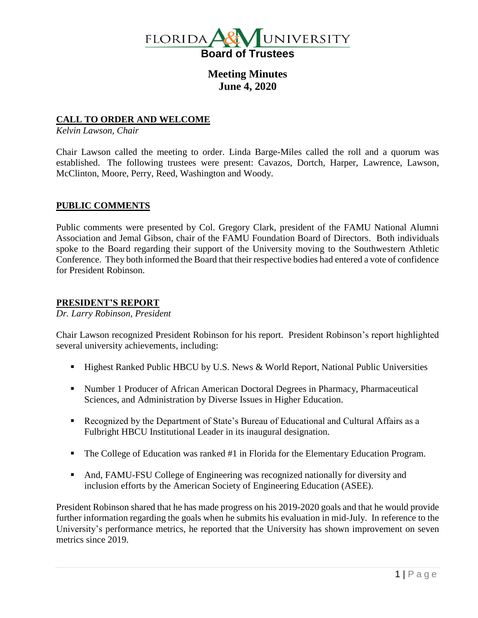

**Meeting Minutes June 4, 2020**

## **CALL TO ORDER AND WELCOME**

*Kelvin Lawson, Chair*

Chair Lawson called the meeting to order. Linda Barge-Miles called the roll and a quorum was established. The following trustees were present: Cavazos, Dortch, Harper, Lawrence, Lawson, McClinton, Moore, Perry, Reed, Washington and Woody.

## **PUBLIC COMMENTS**

Public comments were presented by Col. Gregory Clark, president of the FAMU National Alumni Association and Jemal Gibson, chair of the FAMU Foundation Board of Directors. Both individuals spoke to the Board regarding their support of the University moving to the Southwestern Athletic Conference. They both informed the Board that their respective bodies had entered a vote of confidence for President Robinson.

## **PRESIDENT'S REPORT**

*Dr. Larry Robinson, President*

Chair Lawson recognized President Robinson for his report. President Robinson's report highlighted several university achievements, including:

- Highest Ranked Public HBCU by U.S. News & World Report, National Public Universities
- Number 1 Producer of African American Doctoral Degrees in Pharmacy, Pharmaceutical Sciences, and Administration by Diverse Issues in Higher Education.
- Recognized by the Department of State's Bureau of Educational and Cultural Affairs as a Fulbright HBCU Institutional Leader in its inaugural designation.
- The College of Education was ranked #1 in Florida for the Elementary Education Program.
- And, FAMU-FSU College of Engineering was recognized nationally for diversity and inclusion efforts by the American Society of Engineering Education (ASEE).

President Robinson shared that he has made progress on his 2019-2020 goals and that he would provide further information regarding the goals when he submits his evaluation in mid-July. In reference to the University's performance metrics, he reported that the University has shown improvement on seven metrics since 2019.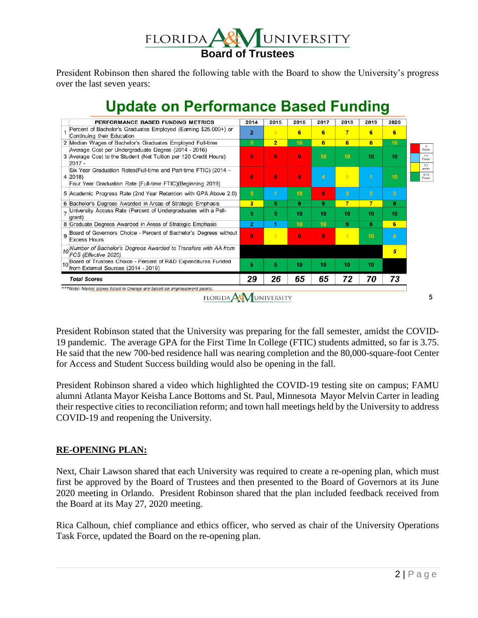

President Robinson then shared the following table with the Board to show the University's progress over the last seven years:



**Update on Performance Based Funding** 

President Robinson stated that the University was preparing for the fall semester, amidst the COVID-19 pandemic. The average GPA for the First Time In College (FTIC) students admitted, so far is 3.75. He said that the new 700-bed residence hall was nearing completion and the 80,000-square-foot Center for Access and Student Success building would also be opening in the fall.

President Robinson shared a video which highlighted the COVID-19 testing site on campus; FAMU alumni Atlanta Mayor Keisha Lance Bottoms and St. Paul, Minnesota Mayor Melvin Carter in leading their respective cities to reconciliation reform; and town hall meetings held by the University to address COVID-19 and reopening the University.

## **RE-OPENING PLAN:**

Next, Chair Lawson shared that each University was required to create a re-opening plan, which must first be approved by the Board of Trustees and then presented to the Board of Governors at its June 2020 meeting in Orlando. President Robinson shared that the plan included feedback received from the Board at its May 27, 2020 meeting.

Rica Calhoun, chief compliance and ethics officer, who served as chair of the University Operations Task Force, updated the Board on the re-opening plan.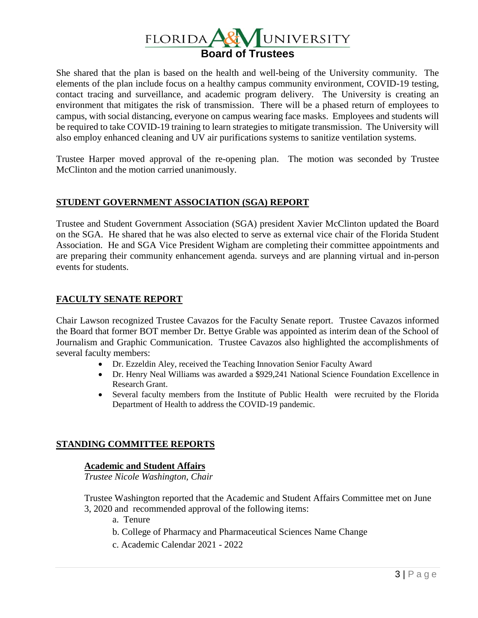

She shared that the plan is based on the health and well-being of the University community. The elements of the plan include focus on a healthy campus community environment, COVID-19 testing, contact tracing and surveillance, and academic program delivery. The University is creating an environment that mitigates the risk of transmission. There will be a phased return of employees to campus, with social distancing, everyone on campus wearing face masks. Employees and students will be required to take COVID-19 training to learn strategies to mitigate transmission. The University will also employ enhanced cleaning and UV air purifications systems to sanitize ventilation systems.

Trustee Harper moved approval of the re-opening plan. The motion was seconded by Trustee McClinton and the motion carried unanimously.

# **STUDENT GOVERNMENT ASSOCIATION (SGA) REPORT**

Trustee and Student Government Association (SGA) president Xavier McClinton updated the Board on the SGA. He shared that he was also elected to serve as external vice chair of the Florida Student Association. He and SGA Vice President Wigham are completing their committee appointments and are preparing their community enhancement agenda. surveys and are planning virtual and in-person events for students.

# **FACULTY SENATE REPORT**

Chair Lawson recognized Trustee Cavazos for the Faculty Senate report. Trustee Cavazos informed the Board that former BOT member Dr. Bettye Grable was appointed as interim dean of the School of Journalism and Graphic Communication. Trustee Cavazos also highlighted the accomplishments of several faculty members:

- Dr. Ezzeldin Aley, received the Teaching Innovation Senior Faculty Award
- Dr. Henry Neal Williams was awarded a \$929,241 National Science Foundation Excellence in Research Grant.
- Several faculty members from the Institute of Public Health were recruited by the Florida Department of Health to address the COVID-19 pandemic.

# **STANDING COMMITTEE REPORTS**

# **Academic and Student Affairs**

*Trustee Nicole Washington, Chair*

Trustee Washington reported that the Academic and Student Affairs Committee met on June 3, 2020 and recommended approval of the following items:

- a. Tenure
- b. College of Pharmacy and Pharmaceutical Sciences Name Change
- c. Academic Calendar 2021 2022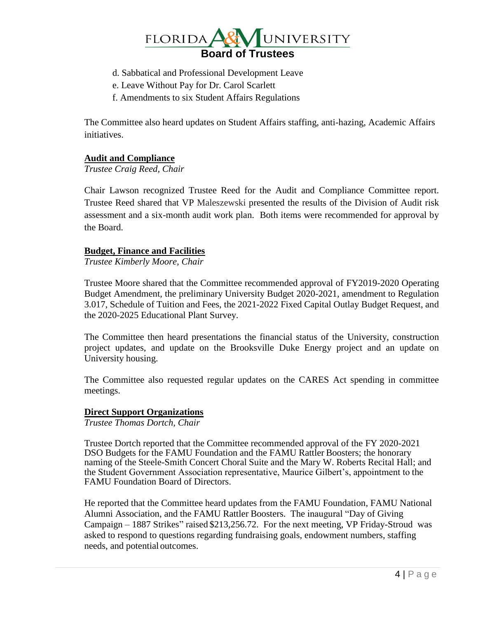

- d. Sabbatical and Professional Development Leave
- e. Leave Without Pay for Dr. Carol Scarlett
- f. Amendments to six Student Affairs Regulations

The Committee also heard updates on Student Affairs staffing, anti-hazing, Academic Affairs initiatives.

## **Audit and Compliance**

*Trustee Craig Reed, Chair*

Chair Lawson recognized Trustee Reed for the Audit and Compliance Committee report. Trustee Reed shared that VP Maleszewski presented the results of the Division of Audit risk assessment and a six-month audit work plan. Both items were recommended for approval by the Board.

## **Budget, Finance and Facilities**

*Trustee Kimberly Moore, Chair*

Trustee Moore shared that the Committee recommended approval of FY2019-2020 Operating Budget Amendment, the preliminary University Budget 2020-2021, amendment to Regulation 3.017, Schedule of Tuition and Fees, the 2021-2022 Fixed Capital Outlay Budget Request, and the 2020-2025 Educational Plant Survey.

The Committee then heard presentations the financial status of the University, construction project updates, and update on the Brooksville Duke Energy project and an update on University housing.

The Committee also requested regular updates on the CARES Act spending in committee meetings.

#### **Direct Support Organizations**

*Trustee Thomas Dortch, Chair*

Trustee Dortch reported that the Committee recommended approval of the FY 2020-2021 DSO Budgets for the FAMU Foundation and the FAMU Rattler Boosters; the honorary naming of the Steele-Smith Concert Choral Suite and the Mary W. Roberts Recital Hall; and the Student Government Association representative, Maurice Gilbert's, appointment to the FAMU Foundation Board of Directors.

He reported that the Committee heard updates from the FAMU Foundation, FAMU National Alumni Association, and the FAMU Rattler Boosters. The inaugural "Day of Giving Campaign – 1887 Strikes" raised \$213,256.72. For the next meeting, VP Friday-Stroud was asked to respond to questions regarding fundraising goals, endowment numbers, staffing needs, and potential outcomes.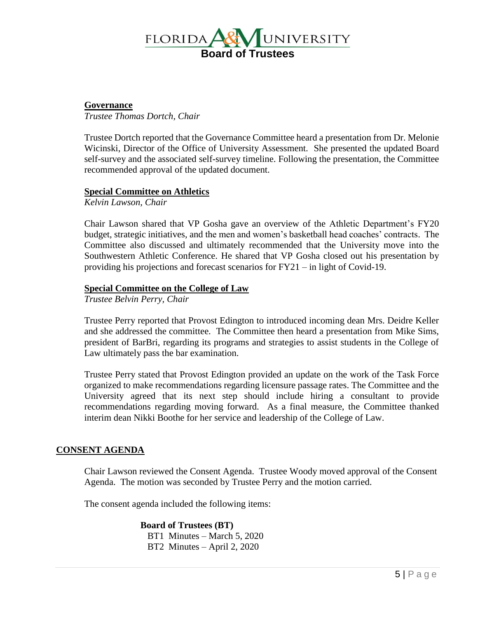

## **Governance**

*Trustee Thomas Dortch, Chair*

Trustee Dortch reported that the Governance Committee heard a presentation from Dr. Melonie Wicinski, Director of the Office of University Assessment. She presented the updated Board self-survey and the associated self-survey timeline. Following the presentation, the Committee recommended approval of the updated document.

## **Special Committee on Athletics**

*Kelvin Lawson, Chair*

Chair Lawson shared that VP Gosha gave an overview of the Athletic Department's FY20 budget, strategic initiatives, and the men and women's basketball head coaches' contracts. The Committee also discussed and ultimately recommended that the University move into the Southwestern Athletic Conference. He shared that VP Gosha closed out his presentation by providing his projections and forecast scenarios for FY21 – in light of Covid-19.

#### **Special Committee on the College of Law**

*Trustee Belvin Perry, Chair*

Trustee Perry reported that Provost Edington to introduced incoming dean Mrs. Deidre Keller and she addressed the committee. The Committee then heard a presentation from Mike Sims, president of BarBri, regarding its programs and strategies to assist students in the College of Law ultimately pass the bar examination.

Trustee Perry stated that Provost Edington provided an update on the work of the Task Force organized to make recommendations regarding licensure passage rates. The Committee and the University agreed that its next step should include hiring a consultant to provide recommendations regarding moving forward. As a final measure, the Committee thanked interim dean Nikki Boothe for her service and leadership of the College of Law.

## **CONSENT AGENDA**

Chair Lawson reviewed the Consent Agenda. Trustee Woody moved approval of the Consent Agenda. The motion was seconded by Trustee Perry and the motion carried.

The consent agenda included the following items:

**Board of Trustees (BT)** BT1 Minutes – March 5, 2020 BT2 Minutes – April 2, 2020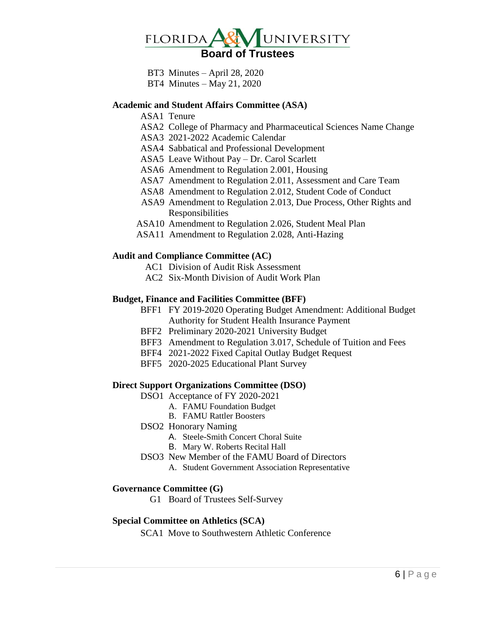

 BT3 Minutes – April 28, 2020 BT4 Minutes – May 21, 2020

#### **Academic and Student Affairs Committee (ASA)**

ASA1 Tenure

- ASA2 College of Pharmacy and Pharmaceutical Sciences Name Change
- ASA3 2021-2022 Academic Calendar
- ASA4 Sabbatical and Professional Development
- ASA5 Leave Without Pay Dr. Carol Scarlett
- ASA6 Amendment to Regulation 2.001, Housing
- ASA7 Amendment to Regulation 2.011, Assessment and Care Team
- ASA8 Amendment to Regulation 2.012, Student Code of Conduct
- ASA9 Amendment to Regulation 2.013, Due Process, Other Rights and Responsibilities
- ASA10 Amendment to Regulation 2.026, Student Meal Plan
- ASA11 Amendment to Regulation 2.028, Anti-Hazing

#### **Audit and Compliance Committee (AC)**

- AC1 Division of Audit Risk Assessment
- AC2 Six-Month Division of Audit Work Plan

#### **Budget, Finance and Facilities Committee (BFF)**

- BFF1 FY 2019-2020 Operating Budget Amendment: Additional Budget Authority for Student Health Insurance Payment
- BFF2 Preliminary 2020-2021 University Budget
- BFF3 Amendment to Regulation 3.017, Schedule of Tuition and Fees
- BFF4 2021-2022 Fixed Capital Outlay Budget Request
- BFF5 2020-2025 Educational Plant Survey

#### **Direct Support Organizations Committee (DSO)**

- DSO1 Acceptance of FY 2020-2021
	- A. FAMU Foundation Budget
	- B. FAMU Rattler Boosters

#### DSO2 Honorary Naming

- A. Steele-Smith Concert Choral Suite
- B. Mary W. Roberts Recital Hall
- DSO3 New Member of the FAMU Board of Directors
	- A. Student Government Association Representative

#### **Governance Committee (G)**

G1 Board of Trustees Self-Survey

#### **Special Committee on Athletics (SCA)**

SCA1 Move to Southwestern Athletic Conference